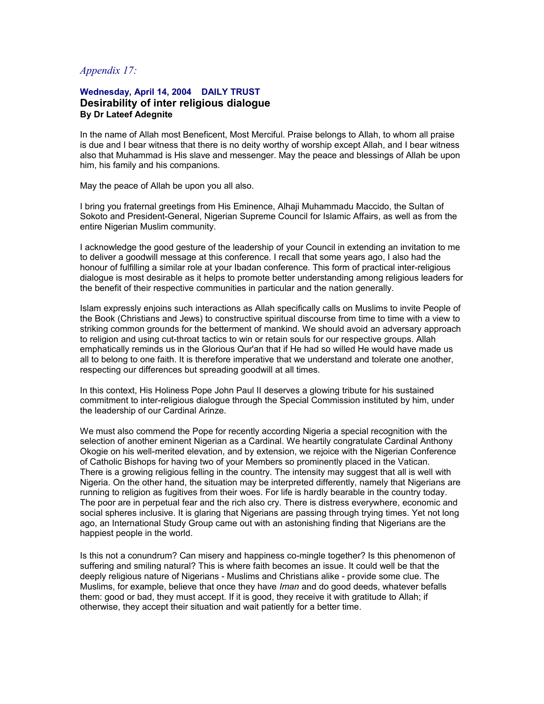## *Appendix 17:*

## **Wednesday, April 14, 2004 DAILY TRUST Desirability of inter religious dialogue By Dr Lateef Adegnite**

In the name of Allah most Beneficent, Most Merciful. Praise belongs to Allah, to whom all praise is due and I bear witness that there is no deity worthy of worship except Allah, and I bear witness also that Muhammad is His slave and messenger. May the peace and blessings of Allah be upon him, his family and his companions.

May the peace of Allah be upon you all also.

I bring you fraternal greetings from His Eminence, Alhaji Muhammadu Maccido, the Sultan of Sokoto and President-General, Nigerian Supreme Council for Islamic Affairs, as well as from the entire Nigerian Muslim community.

I acknowledge the good gesture of the leadership of your Council in extending an invitation to me to deliver a goodwill message at this conference. I recall that some years ago, I also had the honour of fulfilling a similar role at your Ibadan conference. This form of practical inter-religious dialogue is most desirable as it helps to promote better understanding among religious leaders for the benefit of their respective communities in particular and the nation generally.

Islam expressly enjoins such interactions as Allah specifically calls on Muslims to invite People of the Book (Christians and Jews) to constructive spiritual discourse from time to time with a view to striking common grounds for the betterment of mankind. We should avoid an adversary approach to religion and using cut-throat tactics to win or retain souls for our respective groups. Allah emphatically reminds us in the Glorious Qur'an that if He had so willed He would have made us all to belong to one faith. It is therefore imperative that we understand and tolerate one another, respecting our differences but spreading goodwill at all times.

In this context, His Holiness Pope John Paul II deserves a glowing tribute for his sustained commitment to inter-religious dialogue through the Special Commission instituted by him, under the leadership of our Cardinal Arinze.

We must also commend the Pope for recently according Nigeria a special recognition with the selection of another eminent Nigerian as a Cardinal. We heartily congratulate Cardinal Anthony Okogie on his well-merited elevation, and by extension, we rejoice with the Nigerian Conference of Catholic Bishops for having two of your Members so prominently placed in the Vatican. There is a growing religious felling in the country. The intensity may suggest that all is well with Nigeria. On the other hand, the situation may be interpreted differently, namely that Nigerians are running to religion as fugitives from their woes. For life is hardly bearable in the country today. The poor are in perpetual fear and the rich also cry. There is distress everywhere, economic and social spheres inclusive. It is glaring that Nigerians are passing through trying times. Yet not long ago, an International Study Group came out with an astonishing finding that Nigerians are the happiest people in the world.

Is this not a conundrum? Can misery and happiness co-mingle together? Is this phenomenon of suffering and smiling natural? This is where faith becomes an issue. It could well be that the deeply religious nature of Nigerians - Muslims and Christians alike - provide some clue. The Muslims, for example, believe that once they have *Iman* and do good deeds, whatever befalls them: good or bad, they must accept. If it is good, they receive it with gratitude to Allah; if otherwise, they accept their situation and wait patiently for a better time.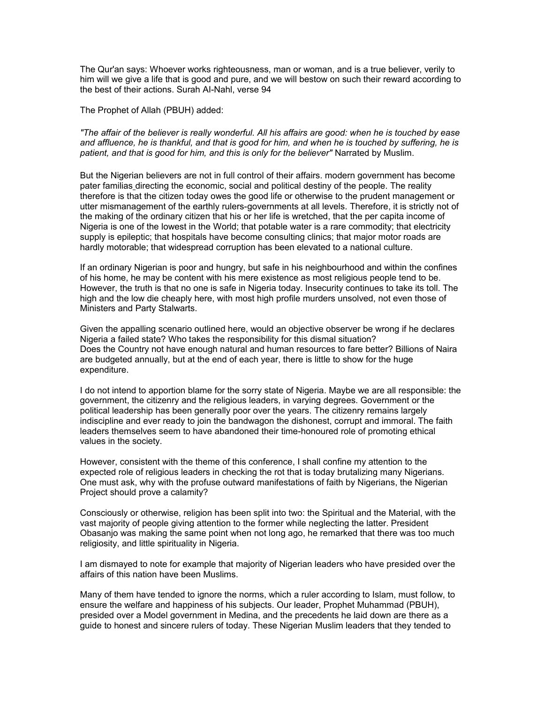The Qur'an says: Whoever works righteousness, man or woman, and is a true believer, verily to him will we give a life that is good and pure, and we will bestow on such their reward according to the best of their actions. Surah AI-Nahl, verse 94

The Prophet of Allah (PBUH) added:

*"The affair of the believer is really wonderful. All his affairs are good: when he is touched by ease and affluence, he is thankful, and that is good for him, and when he is touched by suffering, he is patient, and that is good for him, and this is only for the believer"* Narrated by Muslim.

But the Nigerian believers are not in full control of their affairs. modern government has become pater familias directing the economic, social and political destiny of the people. The reality therefore is that the citizen today owes the good life or otherwise to the prudent management or utter mismanagement of the earthly rulers-governments at all levels. Therefore, it is strictly not of the making of the ordinary citizen that his or her life is wretched, that the per capita income of Nigeria is one of the lowest in the World; that potable water is a rare commodity; that electricity supply is epileptic; that hospitals have become consulting clinics; that major motor roads are hardly motorable; that widespread corruption has been elevated to a national culture.

If an ordinary Nigerian is poor and hungry, but safe in his neighbourhood and within the confines of his home, he may be content with his mere existence as most religious people tend to be. However, the truth is that no one is safe in Nigeria today. Insecurity continues to take its toll. The high and the low die cheaply here, with most high profile murders unsolved, not even those of Ministers and Party Stalwarts.

Given the appalling scenario outlined here, would an objective observer be wrong if he declares Nigeria a failed state? Who takes the responsibility for this dismal situation? Does the Country not have enough natural and human resources to fare better? Billions of Naira are budgeted annually, but at the end of each year, there is little to show for the huge expenditure.

I do not intend to apportion blame for the sorry state of Nigeria. Maybe we are all responsible: the government, the citizenry and the religious leaders, in varying degrees. Government or the political leadership has been generally poor over the years. The citizenry remains largely indiscipline and ever ready to join the bandwagon the dishonest, corrupt and immoral. The faith leaders themselves seem to have abandoned their time-honoured role of promoting ethical values in the society.

However, consistent with the theme of this conference, I shall confine my attention to the expected role of religious leaders in checking the rot that is today brutalizing many Nigerians. One must ask, why with the profuse outward manifestations of faith by Nigerians, the Nigerian Project should prove a calamity?

Consciously or otherwise, religion has been split into two: the Spiritual and the Material, with the vast majority of people giving attention to the former while neglecting the latter. President Obasanjo was making the same point when not long ago, he remarked that there was too much religiosity, and little spirituality in Nigeria.

I am dismayed to note for example that majority of Nigerian leaders who have presided over the affairs of this nation have been Muslims.

Many of them have tended to ignore the norms, which a ruler according to Islam, must follow, to ensure the welfare and happiness of his subjects. Our leader, Prophet Muhammad (PBUH), presided over a Model government in Medina, and the precedents he laid down are there as a guide to honest and sincere rulers of today. These Nigerian Muslim leaders that they tended to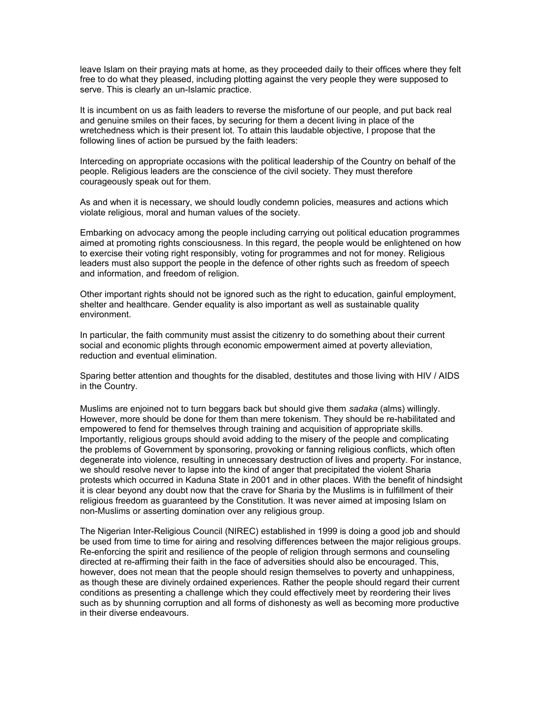leave Islam on their praying mats at home, as they proceeded daily to their offices where they felt free to do what they pleased, including plotting against the very people they were supposed to serve. This is clearly an un-Islamic practice.

It is incumbent on us as faith leaders to reverse the misfortune of our people, and put back real and genuine smiles on their faces, by securing for them a decent living in place of the wretchedness which is their present lot. To attain this laudable objective, I propose that the following lines of action be pursued by the faith leaders:

Interceding on appropriate occasions with the political leadership of the Country on behalf of the people. Religious leaders are the conscience of the civil society. They must therefore courageously speak out for them.

As and when it is necessary, we should loudly condemn policies, measures and actions which violate religious, moral and human values of the society.

Embarking on advocacy among the people including carrying out political education programmes aimed at promoting rights consciousness. In this regard, the people would be enlightened on how to exercise their voting right responsibly, voting for programmes and not for money. Religious leaders must also support the people in the defence of other rights such as freedom of speech and information, and freedom of religion.

Other important rights should not be ignored such as the right to education, gainful employment, shelter and healthcare. Gender equality is also important as well as sustainable quality environment.

In particular, the faith community must assist the citizenry to do something about their current social and economic plights through economic empowerment aimed at poverty alleviation, reduction and eventual elimination.

Sparing better attention and thoughts for the disabled, destitutes and those living with HIV / AIDS in the Country.

Muslims are enjoined not to turn beggars back but should give them *sadaka* (alms) willingly. However, more should be done for them than mere tokenism. They should be re-habilitated and empowered to fend for themselves through training and acquisition of appropriate skills. Importantly, religious groups should avoid adding to the misery of the people and complicating the problems of Government by sponsoring, provoking or fanning religious conflicts, which often degenerate into violence, resulting in unnecessary destruction of lives and property. For instance, we should resolve never to lapse into the kind of anger that precipitated the violent Sharia protests which occurred in Kaduna State in 2001 and in other places. With the benefit of hindsight it is clear beyond any doubt now that the crave for Sharia by the Muslims is in fulfillment of their religious freedom as guaranteed by the Constitution. It was never aimed at imposing Islam on non-Muslims or asserting domination over any religious group.

The Nigerian Inter-Religious Council (NIREC) established in 1999 is doing a good job and should be used from time to time for airing and resolving differences between the major religious groups. Re-enforcing the spirit and resilience of the people of religion through sermons and counseling directed at re-affirming their faith in the face of adversities should also be encouraged. This, however, does not mean that the people should resign themselves to poverty and unhappiness, as though these are divinely ordained experiences. Rather the people should regard their current conditions as presenting a challenge which they could effectively meet by reordering their lives such as by shunning corruption and all forms of dishonesty as well as becoming more productive in their diverse endeavours.